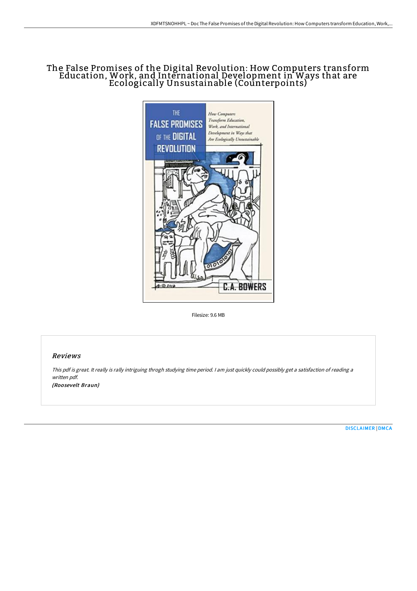# The False Promises of the Digital Revolution: How Computers transform Education, Work, and International Development in Ways that are Ecologically Unsustainable (Counterpoints)



Filesize: 9.6 MB

## Reviews

This pdf is great. It really is rally intriguing throgh studying time period. <sup>I</sup> am just quickly could possibly get <sup>a</sup> satisfaction of reading <sup>a</sup> written pdf. (Roosevelt Braun)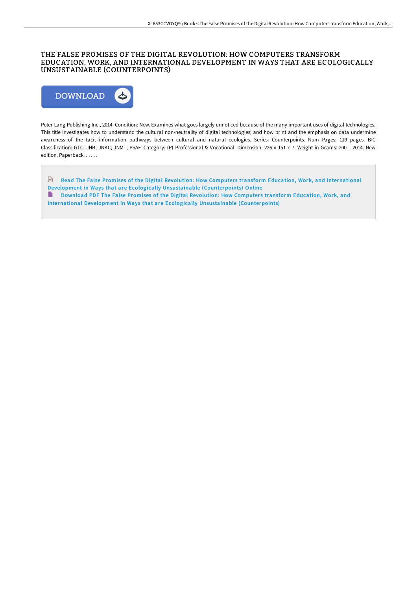## THE FALSE PROMISES OF THE DIGITAL REVOLUTION: HOW COMPUTERS TRANSFORM EDUCATION, WORK, AND INTERNATIONAL DEVELOPMENT IN WAYS THAT ARE ECOLOGICALLY UNSUSTAINABLE (COUNTERPOINTS)



Peter Lang Publishing Inc., 2014. Condition: New. Examines what goes largely unnoticed because of the many important uses of digital technologies. This title investigates how to understand the cultural non-neutrality of digital technologies; and how print and the emphasis on data undermine awareness of the tacit information pathways between cultural and natural ecologies. Series: Counterpoints. Num Pages: 119 pages. BIC Classification: GTC; JHB; JNKC; JNMT; PSAF. Category: (P) Professional & Vocational. Dimension: 226 x 151 x 7. Weight in Grams: 200. . 2014. New edition. Paperback. . . . . .

Read The False Promises of the Digital Revolution: How Computers transform Education, Work, and International Development in Ways that are Ecologically Unsustainable [\(Counterpoints\)](http://digilib.live/the-false-promises-of-the-digital-revolution-how.html) Online Download PDF The False Promises of the Digital Revolution: How Computers transform Education, Work, and International Development in Ways that are Ecologically Unsustainable [\(Counterpoints\)](http://digilib.live/the-false-promises-of-the-digital-revolution-how.html)